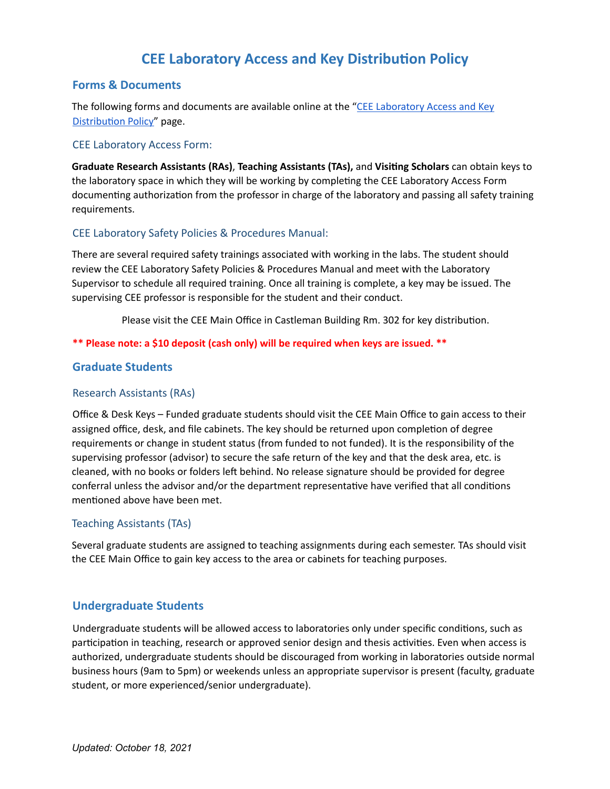# **CEE** Laboratory Access and Key Distribution Policy

# **Forms & Documents**

The following forms and documents are available online at the ["CEE Laboratory](https://cee.engr.uconn.edu/lab-facilities/cee-laboratory-access-and-key-distribution-policy) Access and Key Distribution Policy" page.

# CEE Laboratory Access Form:

**Graduate Research Assistants (RAs)**, **Teaching Assistants (TAs),** and **Vising Scholars** can obtain keys to the laboratory space in which they will be working by completing the CEE Laboratory Access Form documenting authorization from the professor in charge of the laboratory and passing all safety training requirements.

# CEE Laboratory Safety Policies & Procedures Manual:

There are several required safety trainings associated with working in the labs. The student should review the CEE Laboratory Safety Policies & Procedures Manual and meet with the Laboratory Supervisor to schedule all required training. Once all training is complete, a key may be issued. The supervising CEE professor is responsible for the student and their conduct.

Please visit the CEE Main Office in Castleman Building Rm. 302 for key distribution.

# **\*\* Please note: a \$10 deposit (cash only) will be required when keys are issued. \*\***

# **Graduate Students**

#### Research Assistants (RAs)

Office & Desk Keys – Funded graduate students should visit the CEE Main Office to gain access to their assigned office, desk, and file cabinets. The key should be returned upon completion of degree requirements or change in student status (from funded to not funded). It is the responsibility of the supervising professor (advisor) to secure the safe return of the key and that the desk area, etc. is cleaned, with no books or folders left behind. No release signature should be provided for degree conferral unless the advisor and/or the department representative have verified that all conditions mentioned above have been met.

# Teaching Assistants (TAs)

Several graduate students are assigned to teaching assignments during each semester. TAs should visit the CEE Main Office to gain key access to the area or cabinets for teaching purposes.

# **Undergraduate Students**

Undergraduate students will be allowed access to laboratories only under specific conditions, such as participation in teaching, research or approved senior design and thesis activities. Even when access is authorized, undergraduate students should be discouraged from working in laboratories outside normal business hours (9am to 5pm) or weekends unless an appropriate supervisor is present (faculty, graduate student, or more experienced/senior undergraduate).